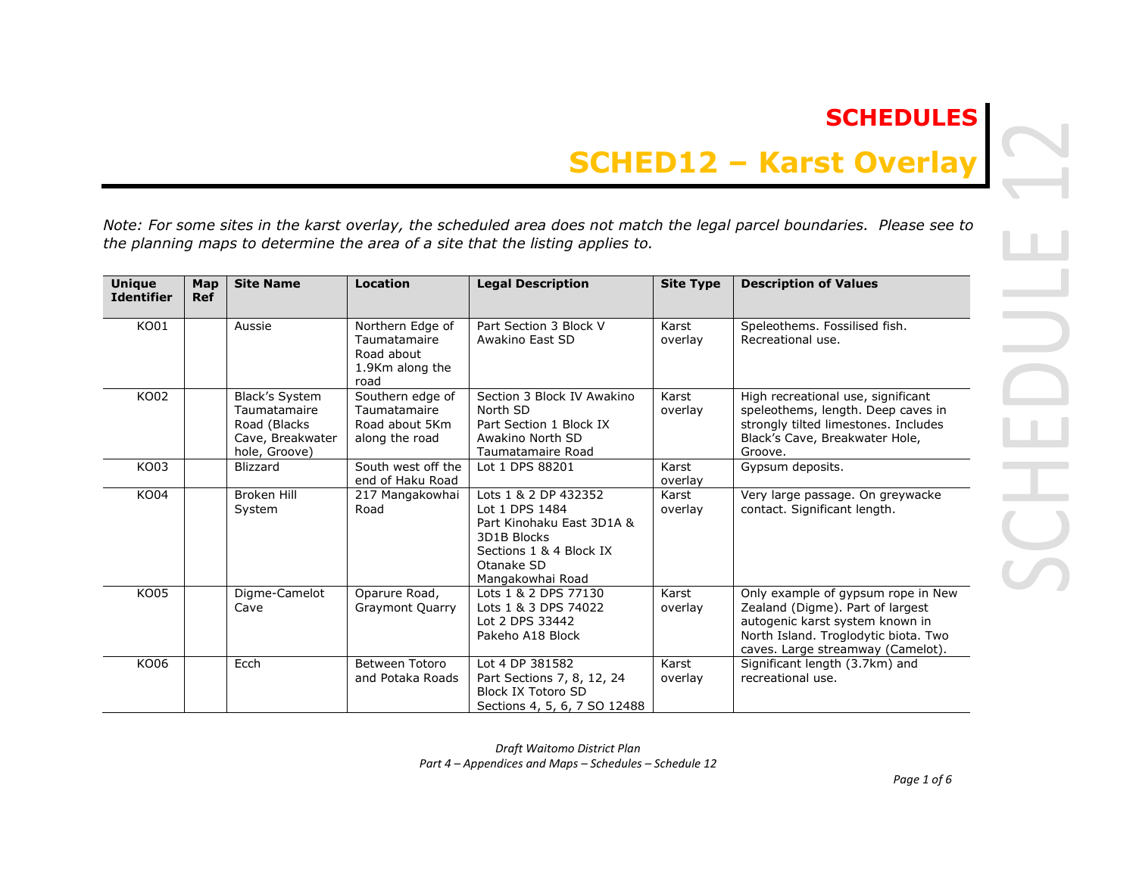# **SCHEDULES**

# **SCHED12 – Karst Overlay**

*Note: For some sites in the karst overlay, the scheduled area does not match the legal parcel boundaries. Please see to the planning maps to determine the area of a site that the listing applies to.* 

| <b>Unique</b><br><b>Identifier</b> | Map<br><b>Ref</b> | <b>Site Name</b>                                                                     | Location                                                                  | <b>Legal Description</b>                                                                                                                        | <b>Site Type</b> | <b>Description of Values</b>                                                                                                                                                           |
|------------------------------------|-------------------|--------------------------------------------------------------------------------------|---------------------------------------------------------------------------|-------------------------------------------------------------------------------------------------------------------------------------------------|------------------|----------------------------------------------------------------------------------------------------------------------------------------------------------------------------------------|
| KO01                               |                   | Aussie                                                                               | Northern Edge of<br>Taumatamaire<br>Road about<br>1.9Km along the<br>road | Part Section 3 Block V<br>Awakino East SD                                                                                                       | Karst<br>overlay | Speleothems. Fossilised fish.<br>Recreational use.                                                                                                                                     |
| KO02                               |                   | Black's System<br>Taumatamaire<br>Road (Blacks)<br>Cave, Breakwater<br>hole, Groove) | Southern edge of<br>Taumatamaire<br>Road about 5Km<br>along the road      | Section 3 Block IV Awakino<br>North SD<br>Part Section 1 Block IX<br>Awakino North SD<br>Taumatamaire Road                                      | Karst<br>overlay | High recreational use, significant<br>speleothems, length. Deep caves in<br>strongly tilted limestones. Includes<br>Black's Cave, Breakwater Hole,<br>Groove.                          |
| KO03                               |                   | <b>Blizzard</b>                                                                      | South west off the<br>end of Haku Road                                    | Lot 1 DPS 88201                                                                                                                                 | Karst<br>overlay | Gypsum deposits.                                                                                                                                                                       |
| KO04                               |                   | <b>Broken Hill</b><br>System                                                         | 217 Mangakowhai<br>Road                                                   | Lots 1 & 2 DP 432352<br>Lot 1 DPS 1484<br>Part Kinohaku East 3D1A &<br>3D1B Blocks<br>Sections 1 & 4 Block IX<br>Otanake SD<br>Mangakowhai Road | Karst<br>overlay | Very large passage. On greywacke<br>contact. Significant length.                                                                                                                       |
| <b>KO05</b>                        |                   | Digme-Camelot<br>Cave                                                                | Oparure Road,<br><b>Graymont Quarry</b>                                   | Lots 1 & 2 DPS 77130<br>Lots 1 & 3 DPS 74022<br>Lot 2 DPS 33442<br>Pakeho A18 Block                                                             | Karst<br>overlay | Only example of gypsum rope in New<br>Zealand (Digme). Part of largest<br>autogenic karst system known in<br>North Island. Troglodytic biota. Two<br>caves. Large streamway (Camelot). |
| KO06                               |                   | Ecch                                                                                 | Between Totoro<br>and Potaka Roads                                        | Lot 4 DP 381582<br>Part Sections 7, 8, 12, 24<br><b>Block IX Totoro SD</b><br>Sections 4, 5, 6, 7 SO 12488                                      | Karst<br>overlay | Significant length (3.7km) and<br>recreational use.                                                                                                                                    |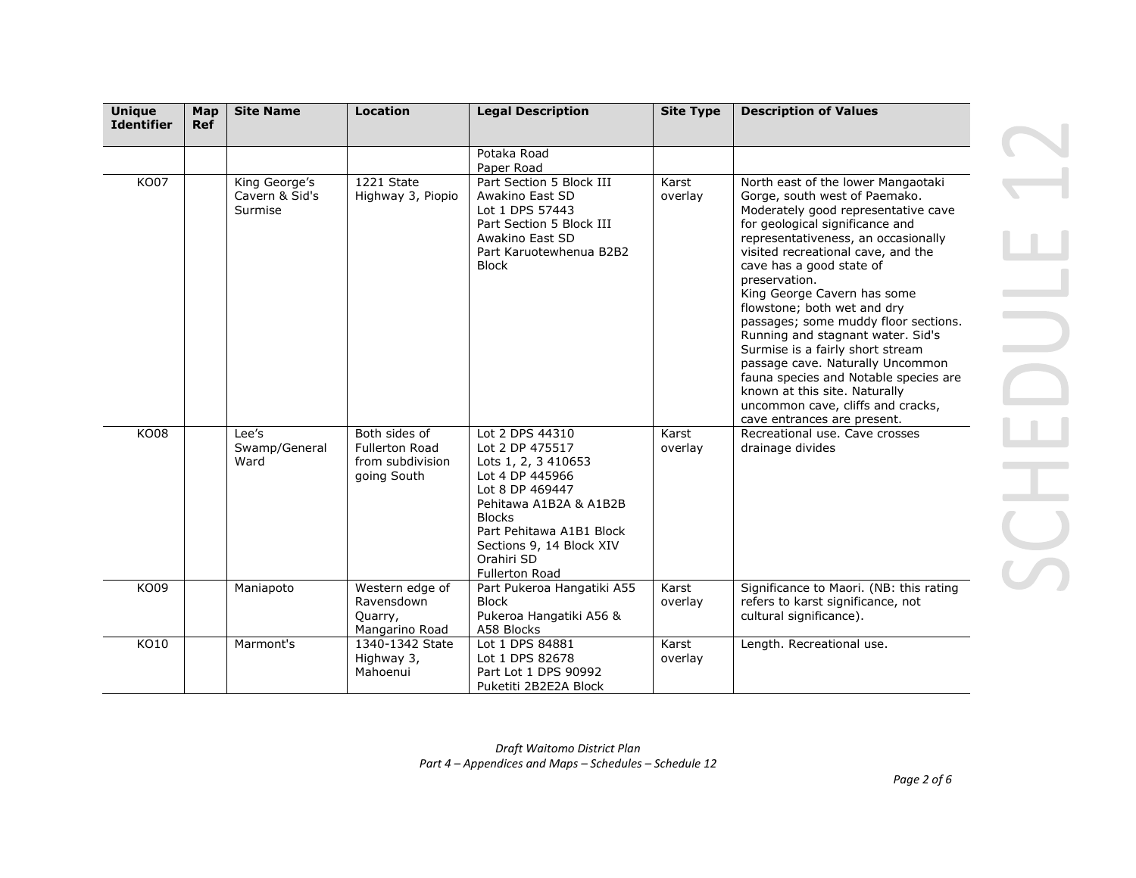| <b>Unique</b><br><b>Identifier</b> | Map<br><b>Ref</b> | <b>Site Name</b>                           | <b>Location</b>                                                           | <b>Legal Description</b>                                                                                                                                                                                                                  | <b>Site Type</b> | <b>Description of Values</b>                                                                                                                                                                                                                                                                                                                                                                                                                                                                                                                                                                                                             |  |
|------------------------------------|-------------------|--------------------------------------------|---------------------------------------------------------------------------|-------------------------------------------------------------------------------------------------------------------------------------------------------------------------------------------------------------------------------------------|------------------|------------------------------------------------------------------------------------------------------------------------------------------------------------------------------------------------------------------------------------------------------------------------------------------------------------------------------------------------------------------------------------------------------------------------------------------------------------------------------------------------------------------------------------------------------------------------------------------------------------------------------------------|--|
|                                    |                   |                                            |                                                                           |                                                                                                                                                                                                                                           |                  |                                                                                                                                                                                                                                                                                                                                                                                                                                                                                                                                                                                                                                          |  |
|                                    |                   |                                            |                                                                           | Potaka Road<br>Paper Road                                                                                                                                                                                                                 |                  |                                                                                                                                                                                                                                                                                                                                                                                                                                                                                                                                                                                                                                          |  |
| <b>KO07</b>                        |                   | King George's<br>Cavern & Sid's<br>Surmise | 1221 State<br>Highway 3, Piopio                                           | Part Section 5 Block III<br>Awakino East SD<br>Lot 1 DPS 57443<br>Part Section 5 Block III<br>Awakino East SD<br>Part Karuotewhenua B2B2<br><b>Block</b>                                                                                  | Karst<br>overlay | North east of the lower Mangaotaki<br>Gorge, south west of Paemako.<br>Moderately good representative cave<br>for geological significance and<br>representativeness, an occasionally<br>visited recreational cave, and the<br>cave has a good state of<br>preservation.<br>King George Cavern has some<br>flowstone; both wet and dry<br>passages; some muddy floor sections.<br>Running and stagnant water. Sid's<br>Surmise is a fairly short stream<br>passage cave. Naturally Uncommon<br>fauna species and Notable species are<br>known at this site. Naturally<br>uncommon cave, cliffs and cracks,<br>cave entrances are present. |  |
| <b>KO08</b>                        |                   | Lee's<br>Swamp/General<br>Ward             | Both sides of<br><b>Fullerton Road</b><br>from subdivision<br>going South | Lot 2 DPS 44310<br>Lot 2 DP 475517<br>Lots 1, 2, 3 410653<br>Lot 4 DP 445966<br>Lot 8 DP 469447<br>Pehitawa A1B2A & A1B2B<br><b>Blocks</b><br>Part Pehitawa A1B1 Block<br>Sections 9, 14 Block XIV<br>Orahiri SD<br><b>Fullerton Road</b> | Karst<br>overlay | Recreational use. Cave crosses<br>drainage divides                                                                                                                                                                                                                                                                                                                                                                                                                                                                                                                                                                                       |  |
| KO09                               |                   | Maniapoto                                  | Western edge of<br>Ravensdown<br>Quarry,<br>Mangarino Road                | Part Pukeroa Hangatiki A55<br><b>Block</b><br>Pukeroa Hangatiki A56 &<br>A58 Blocks                                                                                                                                                       | Karst<br>overlay | Significance to Maori. (NB: this rating<br>refers to karst significance, not<br>cultural significance).                                                                                                                                                                                                                                                                                                                                                                                                                                                                                                                                  |  |
| KO10                               |                   | Marmont's                                  | 1340-1342 State<br>Highway 3,<br>Mahoenui                                 | Lot 1 DPS 84881<br>Lot 1 DPS 82678<br>Part Lot 1 DPS 90992<br>Puketiti 2B2E2A Block                                                                                                                                                       | Karst<br>overlay | Length. Recreational use.                                                                                                                                                                                                                                                                                                                                                                                                                                                                                                                                                                                                                |  |

*Part 4 – Appendices and Maps – Schedules – Schedule 12*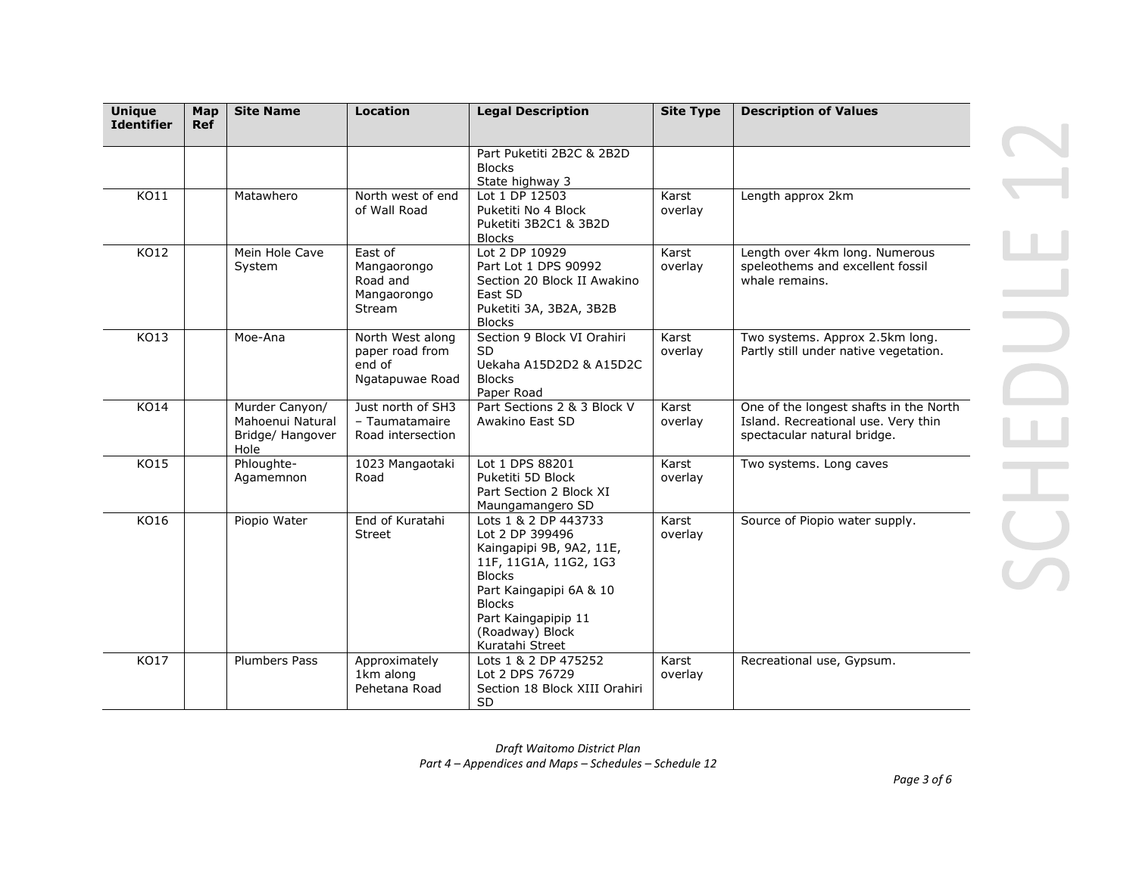| <b>Unique</b><br><b>Identifier</b> | Map<br><b>Ref</b> | <b>Site Name</b>                                               | <b>Location</b>                                                  | <b>Legal Description</b>                                                                                                                                                                                               | <b>Site Type</b> | <b>Description of Values</b>                                                                                 |
|------------------------------------|-------------------|----------------------------------------------------------------|------------------------------------------------------------------|------------------------------------------------------------------------------------------------------------------------------------------------------------------------------------------------------------------------|------------------|--------------------------------------------------------------------------------------------------------------|
|                                    |                   |                                                                |                                                                  | Part Puketiti 2B2C & 2B2D<br><b>Blocks</b><br>State highway 3                                                                                                                                                          |                  |                                                                                                              |
| KO11                               |                   | Matawhero                                                      | North west of end<br>of Wall Road                                | Lot 1 DP 12503<br>Puketiti No 4 Block<br>Puketiti 3B2C1 & 3B2D<br><b>Blocks</b>                                                                                                                                        | Karst<br>overlay | Length approx 2km                                                                                            |
| KO12                               |                   | Mein Hole Cave<br>System                                       | East of<br>Mangaorongo<br>Road and<br>Mangaorongo<br>Stream      | Lot 2 DP 10929<br>Part Lot 1 DPS 90992<br>Section 20 Block II Awakino<br>East SD<br>Puketiti 3A, 3B2A, 3B2B<br><b>Blocks</b>                                                                                           | Karst<br>overlay | Length over 4km long. Numerous<br>speleothems and excellent fossil<br>whale remains.                         |
| KO13                               |                   | Moe-Ana                                                        | North West along<br>paper road from<br>end of<br>Ngatapuwae Road | Section 9 Block VI Orahiri<br><b>SD</b><br>Uekaha A15D2D2 & A15D2C<br><b>Blocks</b><br>Paper Road                                                                                                                      | Karst<br>overlay | Two systems. Approx 2.5km long.<br>Partly still under native vegetation.                                     |
| KO14                               |                   | Murder Canyon/<br>Mahoenui Natural<br>Bridge/ Hangover<br>Hole | Just north of SH3<br>- Taumatamaire<br>Road intersection         | Part Sections 2 & 3 Block V<br>Awakino East SD                                                                                                                                                                         | Karst<br>overlay | One of the longest shafts in the North<br>Island. Recreational use. Very thin<br>spectacular natural bridge. |
| <b>KO15</b>                        |                   | Phloughte-<br>Agamemnon                                        | 1023 Mangaotaki<br>Road                                          | Lot 1 DPS 88201<br>Puketiti 5D Block<br>Part Section 2 Block XI<br>Maungamangero SD                                                                                                                                    | Karst<br>overlay | Two systems. Long caves                                                                                      |
| KO16                               |                   | Piopio Water                                                   | End of Kuratahi<br>Street                                        | Lots 1 & 2 DP 443733<br>Lot 2 DP 399496<br>Kaingapipi 9B, 9A2, 11E,<br>11F, 11G1A, 11G2, 1G3<br><b>Blocks</b><br>Part Kaingapipi 6A & 10<br><b>Blocks</b><br>Part Kaingapipip 11<br>(Roadway) Block<br>Kuratahi Street | Karst<br>overlay | Source of Piopio water supply.                                                                               |
| KO17                               |                   | <b>Plumbers Pass</b>                                           | Approximately<br>1km along<br>Pehetana Road                      | Lots 1 & 2 DP 475252<br>Lot 2 DPS 76729<br>Section 18 Block XIII Orahiri<br><b>SD</b>                                                                                                                                  | Karst<br>overlay | Recreational use, Gypsum.                                                                                    |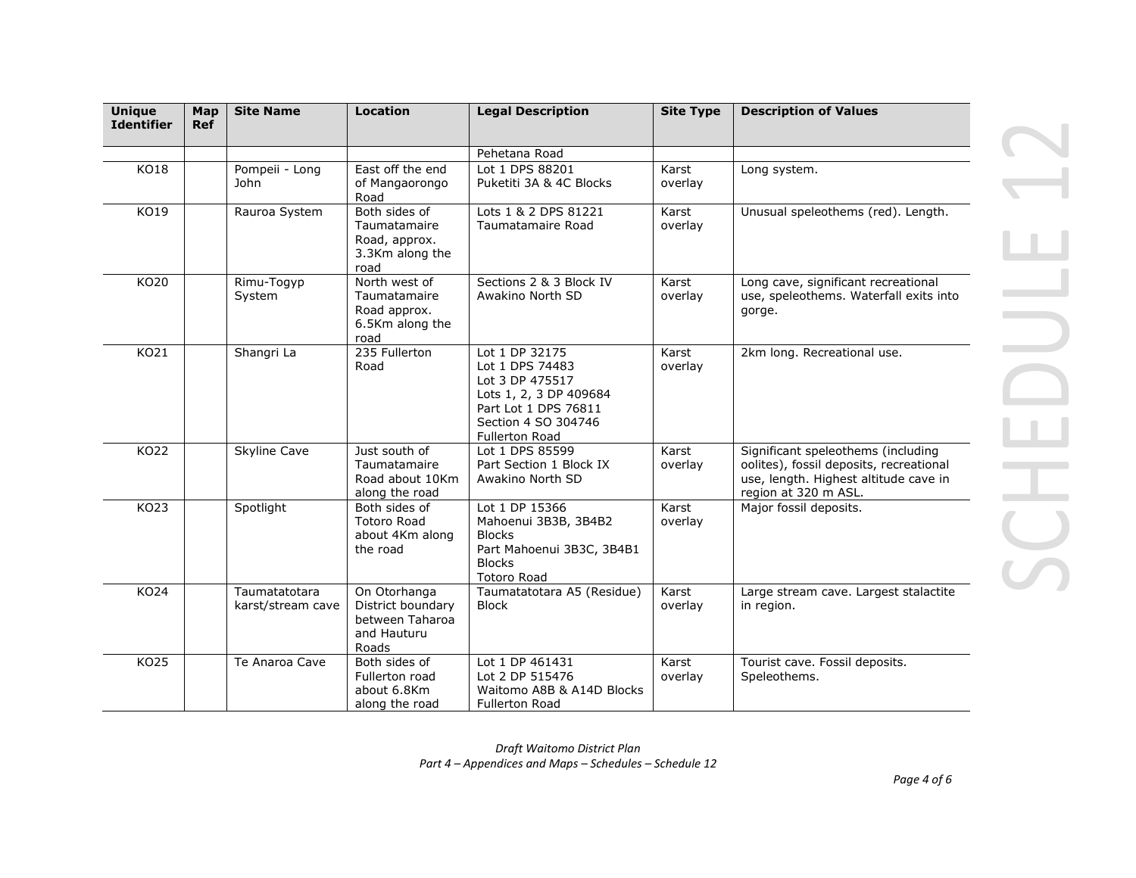| <b>Unique</b><br><b>Identifier</b> | Map<br><b>Ref</b> | <b>Site Name</b>                   | Location                                                                     | <b>Legal Description</b>                                                                                                                               | <b>Site Type</b> | <b>Description of Values</b>                                                                                                                   |
|------------------------------------|-------------------|------------------------------------|------------------------------------------------------------------------------|--------------------------------------------------------------------------------------------------------------------------------------------------------|------------------|------------------------------------------------------------------------------------------------------------------------------------------------|
|                                    |                   |                                    |                                                                              | Pehetana Road                                                                                                                                          |                  |                                                                                                                                                |
| KO18                               |                   | Pompeii - Long<br><b>John</b>      | East off the end<br>of Mangaorongo<br>Road                                   | Lot 1 DPS 88201<br>Puketiti 3A & 4C Blocks                                                                                                             | Karst<br>overlay | Long system.                                                                                                                                   |
| KO19                               |                   | Rauroa System                      | Both sides of<br>Taumatamaire<br>Road, approx.<br>3.3Km along the<br>road    | Lots 1 & 2 DPS 81221<br>Taumatamaire Road                                                                                                              | Karst<br>overlay | Unusual speleothems (red). Length.                                                                                                             |
| KO20                               |                   | Rimu-Togyp<br>System               | North west of<br>Taumatamaire<br>Road approx.<br>6.5Km along the<br>road     | Sections 2 & 3 Block IV<br>Awakino North SD                                                                                                            | Karst<br>overlay | Long cave, significant recreational<br>use, speleothems. Waterfall exits into<br>gorge.                                                        |
| KO21                               |                   | Shangri La                         | 235 Fullerton<br>Road                                                        | Lot 1 DP 32175<br>Lot 1 DPS 74483<br>Lot 3 DP 475517<br>Lots 1, 2, 3 DP 409684<br>Part Lot 1 DPS 76811<br>Section 4 SO 304746<br><b>Fullerton Road</b> | Karst<br>overlay | 2km long. Recreational use.                                                                                                                    |
| KO22                               |                   | <b>Skyline Cave</b>                | Just south of<br>Taumatamaire<br>Road about 10Km<br>along the road           | Lot 1 DPS 85599<br>Part Section 1 Block IX<br>Awakino North SD                                                                                         | Karst<br>overlay | Significant speleothems (including<br>oolites), fossil deposits, recreational<br>use, length. Highest altitude cave in<br>region at 320 m ASL. |
| KO23                               |                   | Spotlight                          | Both sides of<br><b>Totoro Road</b><br>about 4Km along<br>the road           | Lot 1 DP 15366<br>Mahoenui 3B3B, 3B4B2<br><b>Blocks</b><br>Part Mahoenui 3B3C, 3B4B1<br><b>Blocks</b><br><b>Totoro Road</b>                            | Karst<br>overlay | Major fossil deposits.                                                                                                                         |
| KO24                               |                   | Taumatatotara<br>karst/stream cave | On Otorhanga<br>District boundary<br>between Taharoa<br>and Hauturu<br>Roads | Taumatatotara A5 (Residue)<br><b>Block</b>                                                                                                             | Karst<br>overlay | Large stream cave. Largest stalactite<br>in region.                                                                                            |
| <b>KO25</b>                        |                   | Te Anaroa Cave                     | Both sides of<br>Fullerton road<br>about 6.8Km<br>along the road             | Lot 1 DP 461431<br>Lot 2 DP 515476<br>Waitomo A8B & A14D Blocks<br><b>Fullerton Road</b>                                                               | Karst<br>overlay | Tourist cave. Fossil deposits.<br>Speleothems.                                                                                                 |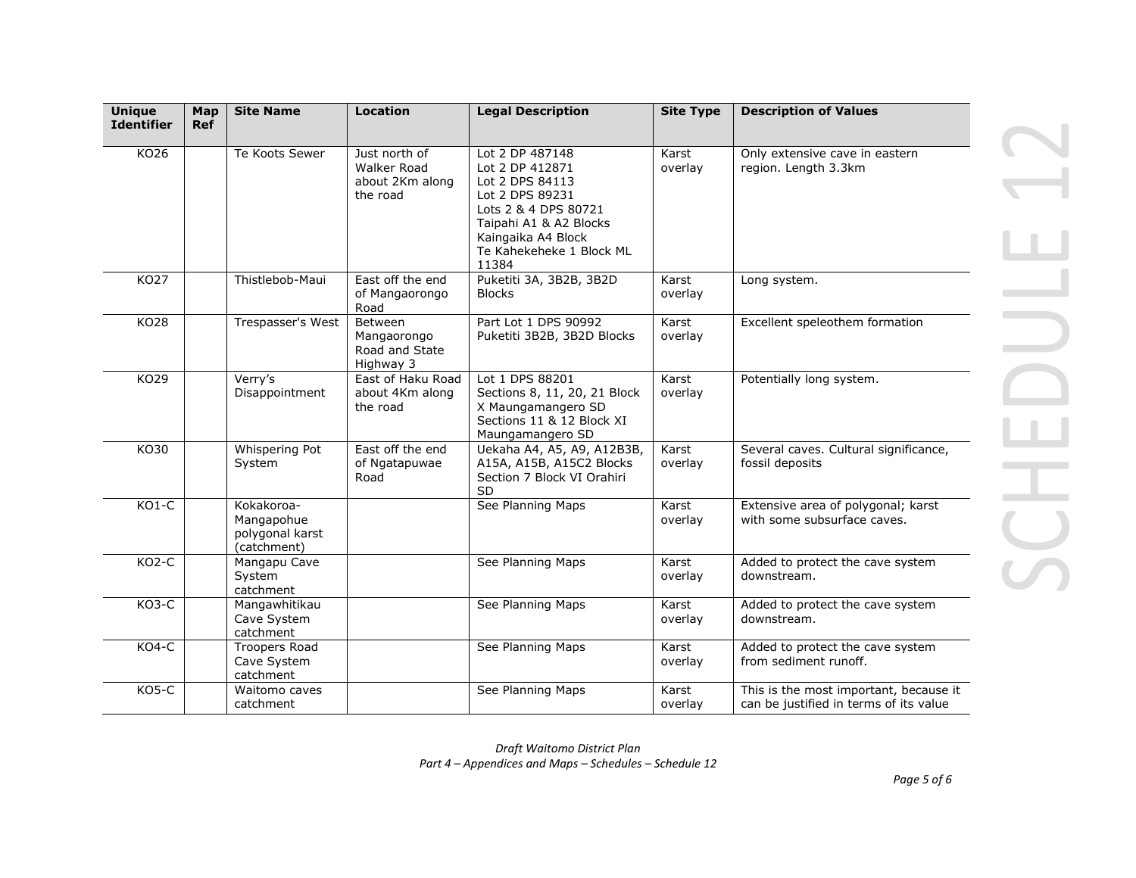| <b>Unique</b><br><b>Identifier</b> | Map<br><b>Ref</b> | <b>Site Name</b>                                           | <b>Location</b>                                                    | <b>Legal Description</b>                                                                                                                                                              | <b>Site Type</b> | <b>Description of Values</b>                                                     |
|------------------------------------|-------------------|------------------------------------------------------------|--------------------------------------------------------------------|---------------------------------------------------------------------------------------------------------------------------------------------------------------------------------------|------------------|----------------------------------------------------------------------------------|
|                                    |                   |                                                            |                                                                    |                                                                                                                                                                                       |                  |                                                                                  |
| KO26                               |                   | Te Koots Sewer                                             | Just north of<br><b>Walker Road</b><br>about 2Km along<br>the road | Lot 2 DP 487148<br>Lot 2 DP 412871<br>Lot 2 DPS 84113<br>Lot 2 DPS 89231<br>Lots 2 & 4 DPS 80721<br>Taipahi A1 & A2 Blocks<br>Kaingaika A4 Block<br>Te Kahekeheke 1 Block ML<br>11384 | Karst<br>overlay | Only extensive cave in eastern<br>region. Length 3.3km                           |
| KO27                               |                   | Thistlebob-Maui                                            | East off the end<br>of Mangaorongo<br>Road                         | Puketiti 3A, 3B2B, 3B2D<br><b>Blocks</b>                                                                                                                                              | Karst<br>overlay | Long system.                                                                     |
| KO28                               |                   | Trespasser's West                                          | Between<br>Mangaorongo<br>Road and State<br>Highway 3              | Part Lot 1 DPS 90992<br>Puketiti 3B2B, 3B2D Blocks                                                                                                                                    | Karst<br>overlay | Excellent speleothem formation                                                   |
| KO29                               |                   | Verry's<br>Disappointment                                  | East of Haku Road<br>about 4Km along<br>the road                   | Lot 1 DPS 88201<br>Sections 8, 11, 20, 21 Block<br>X Maungamangero SD<br>Sections 11 & 12 Block XI<br>Maungamangero SD                                                                | Karst<br>overlay | Potentially long system.                                                         |
| KO30                               |                   | Whispering Pot<br>System                                   | East off the end<br>of Ngatapuwae<br>Road                          | Uekaha A4, A5, A9, A12B3B,<br>A15A, A15B, A15C2 Blocks<br>Section 7 Block VI Orahiri<br><b>SD</b>                                                                                     | Karst<br>overlay | Several caves. Cultural significance,<br>fossil deposits                         |
| $KO1-C$                            |                   | Kokakoroa-<br>Mangapohue<br>polygonal karst<br>(catchment) |                                                                    | See Planning Maps                                                                                                                                                                     | Karst<br>overlav | Extensive area of polygonal; karst<br>with some subsurface caves.                |
| KO2-C                              |                   | Mangapu Cave<br>System<br>catchment                        |                                                                    | See Planning Maps                                                                                                                                                                     | Karst<br>overlay | Added to protect the cave system<br>downstream.                                  |
| KO3-C                              |                   | Mangawhitikau<br>Cave System<br>catchment                  |                                                                    | See Planning Maps                                                                                                                                                                     | Karst<br>overlay | Added to protect the cave system<br>downstream.                                  |
| KO4-C                              |                   | Troopers Road<br>Cave System<br>catchment                  |                                                                    | See Planning Maps                                                                                                                                                                     | Karst<br>overlay | Added to protect the cave system<br>from sediment runoff.                        |
| KO5-C                              |                   | Waitomo caves<br>catchment                                 |                                                                    | See Planning Maps                                                                                                                                                                     | Karst<br>overlay | This is the most important, because it<br>can be justified in terms of its value |